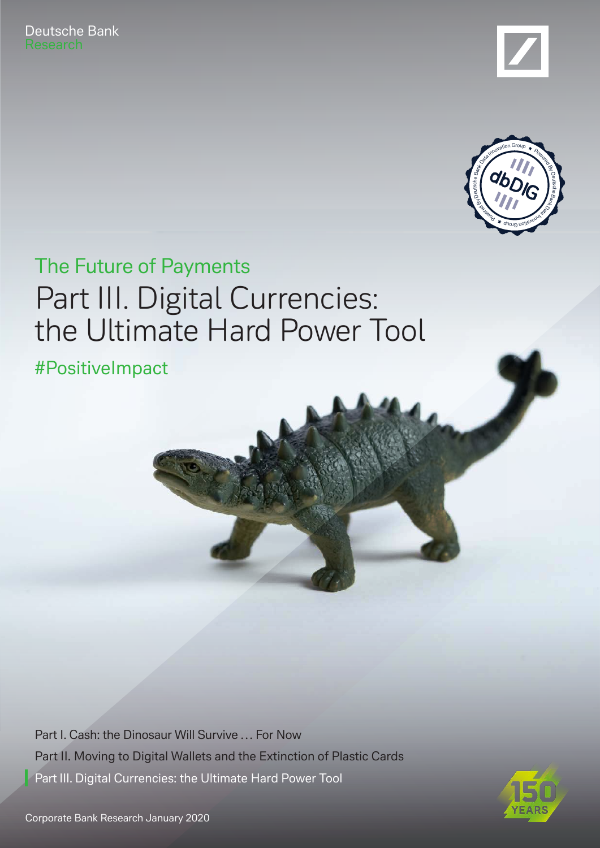Deutsche Bank





### Part III. Digital Currencies: the Ultimate Hard Power Tool The Future of Payments

#PositiveImpact

[Part I. Cash: the Dinosaur Will Survive … For Now](https://www.dbresearch.com/PROD/RPS_EN-PROD/PROD0000000000504353.PDF) [Part II. Moving to Digital Wallets and the Extinction of Plastic Cards](https://www.dbresearch.com/PROD/RPS_EN-PROD/PROD0000000000504508/The_Future_of_Payments_-_Part_II__Moving_to_Digita.pdf) Part III. Digital Currencies: the Ultimate Hard Power Tool

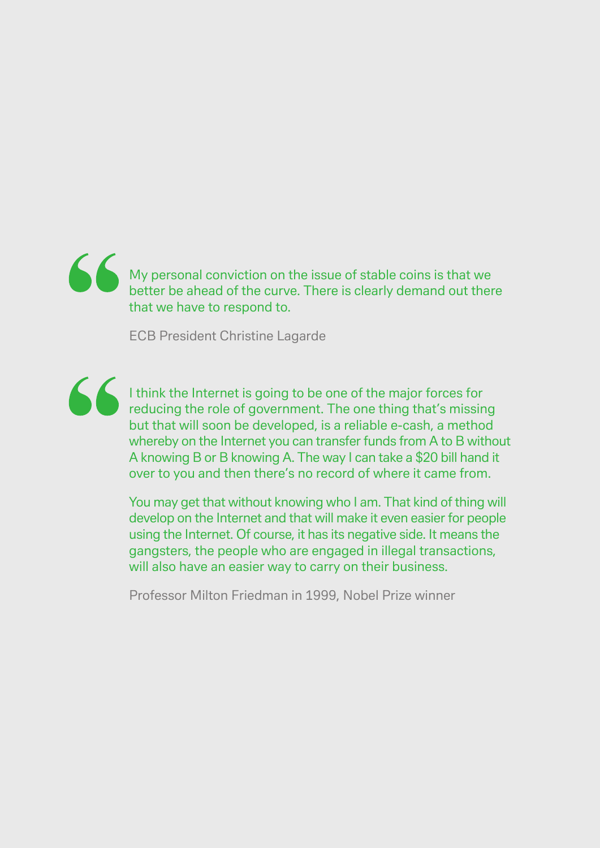### My personal conviction on the issue of stable coins is that we better be ahead of the curve. There is clearly demand out there that we have to respond to.

ECB President Christine Lagarde



I think the Internet is going to be one of the major forces for reducing the role of government. The one thing that's missing but that will soon be developed, is a reliable e-cash, a method whereby on the Internet you can transfer funds from A to B without A knowing B or B knowing A. The way I can take a \$20 bill hand it over to you and then there's no record of where it came from.

You may get that without knowing who I am. That kind of thing will develop on the Internet and that will make it even easier for people using the Internet. Of course, it has its negative side. It means the gangsters, the people who are engaged in illegal transactions, will also have an easier way to carry on their business.

Professor Milton Friedman in 1999, Nobel Prize winner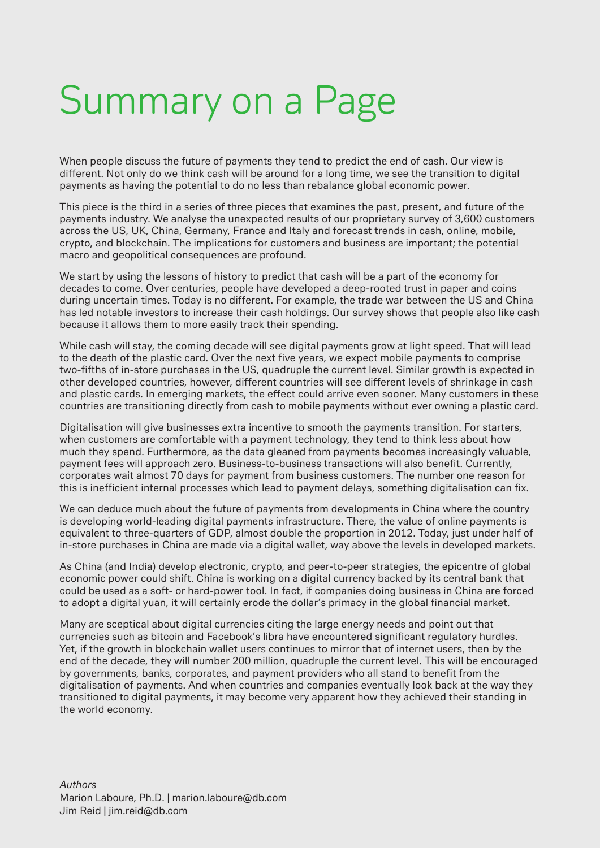# Summary on a Page

When people discuss the future of payments they tend to predict the end of cash. Our view is different. Not only do we think cash will be around for a long time, we see the transition to digital payments as having the potential to do no less than rebalance global economic power.

This piece is the third in a series of three pieces that examines the past, present, and future of the payments industry. We analyse the unexpected results of our proprietary survey of 3,600 customers across the US, UK, China, Germany, France and Italy and forecast trends in cash, online, mobile, crypto, and blockchain. The implications for customers and business are important; the potential macro and geopolitical consequences are profound.

We start by using the lessons of history to predict that cash will be a part of the economy for decades to come. Over centuries, people have developed a deep-rooted trust in paper and coins during uncertain times. Today is no different. For example, the trade war between the US and China has led notable investors to increase their cash holdings. Our survey shows that people also like cash because it allows them to more easily track their spending.

While cash will stay, the coming decade will see digital payments grow at light speed. That will lead to the death of the plastic card. Over the next five years, we expect mobile payments to comprise two-fifths of in-store purchases in the US, quadruple the current level. Similar growth is expected in other developed countries, however, different countries will see different levels of shrinkage in cash and plastic cards. In emerging markets, the effect could arrive even sooner. Many customers in these countries are transitioning directly from cash to mobile payments without ever owning a plastic card.

Digitalisation will give businesses extra incentive to smooth the payments transition. For starters, when customers are comfortable with a payment technology, they tend to think less about how much they spend. Furthermore, as the data gleaned from payments becomes increasingly valuable, payment fees will approach zero. Business-to-business transactions will also benefit. Currently, corporates wait almost 70 days for payment from business customers. The number one reason for this is inefficient internal processes which lead to payment delays, something digitalisation can fix.

We can deduce much about the future of payments from developments in China where the country is developing world-leading digital payments infrastructure. There, the value of online payments is equivalent to three-quarters of GDP, almost double the proportion in 2012. Today, just under half of in-store purchases in China are made via a digital wallet, way above the levels in developed markets.

As China (and India) develop electronic, crypto, and peer-to-peer strategies, the epicentre of global economic power could shift. China is working on a digital currency backed by its central bank that could be used as a soft- or hard-power tool. In fact, if companies doing business in China are forced to adopt a digital yuan, it will certainly erode the dollar's primacy in the global financial market.

Many are sceptical about digital currencies citing the large energy needs and point out that currencies such as bitcoin and Facebook's libra have encountered significant regulatory hurdles. Yet, if the growth in blockchain wallet users continues to mirror that of internet users, then by the end of the decade, they will number 200 million, quadruple the current level. This will be encouraged by governments, banks, corporates, and payment providers who all stand to benefit from the digitalisation of payments. And when countries and companies eventually look back at the way they transitioned to digital payments, it may become very apparent how they achieved their standing in the world economy.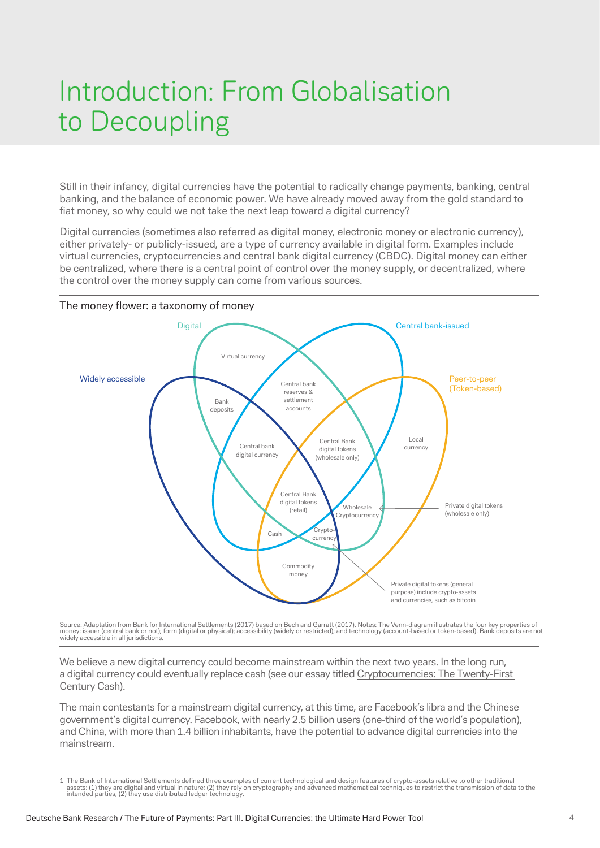### Introduction: From Globalisation to Decoupling

Still in their infancy, digital currencies have the potential to radically change payments, banking, central banking, and the balance of economic power. We have already moved away from the gold standard to fiat money, so why could we not take the next leap toward a digital currency?

Digital currencies (sometimes also referred as digital money, electronic money or electronic currency), either privately- or publicly-issued, are a type of currency available in digital form. Examples include virtual currencies, cryptocurrencies and central bank digital currency (CBDC). Digital money can either be centralized, where there is a central point of control over the money supply, or decentralized, where the control over the money supply can come from various sources.



Source: Adaptation from Bank for International Settlements (2017) based on Bech and Garratt (2017). Notes: The Venn-diagram illustrates the four key properties of money: issuer (central bank or not); form (digital or physical); accessibility (widely or restricted); and technology (account-based or token-based). Bank deposits are not widely accessible in all jurisdictions.

We believe a new digital currency could become mainstream within the next two years. In the long run, a digital currency could eventually replace cash (see our essay titled [Cryptocurrencies: The Twenty-First](https://www.dbresearch.com/PROD/RPS_EN-PROD/PROD0000000000503196/Imagine_2030.PDF#page=60)  [Century Cash\)](https://www.dbresearch.com/PROD/RPS_EN-PROD/PROD0000000000503196/Imagine_2030.PDF#page=60).

The main contestants for a mainstream digital currency, at this time, are Facebook's libra and the Chinese government's digital currency. Facebook, with nearly 2.5 billion users (one-third of the world's population), and China, with more than 1.4 billion inhabitants, have the potential to advance digital currencies into the mainstream.

<sup>1</sup> The Bank of International Settlements defined three examples of current technological and design features of crypto-assets relative to other traditional assets: (1) they are digital and virtual in nature; (2) they rely on cryptography and advanced mathematical techniques to restrict the transmission of data to the<br>intended parties; (2) they use distributed ledger technolog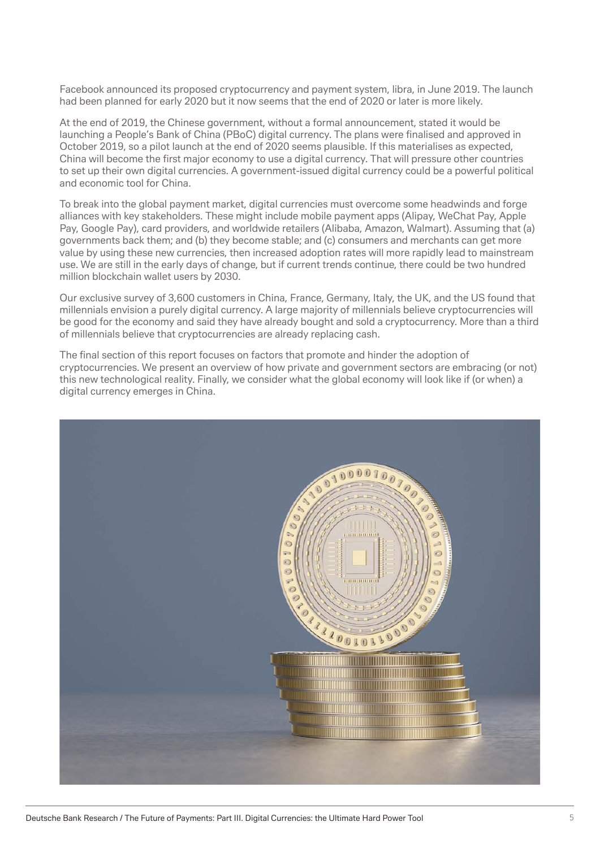Facebook announced its proposed cryptocurrency and payment system, libra, in June 2019. The launch had been planned for early 2020 but it now seems that the end of 2020 or later is more likely.

At the end of 2019, the Chinese government, without a formal announcement, stated it would be launching a People's Bank of China (PBoC) digital currency. The plans were finalised and approved in October 2019, so a pilot launch at the end of 2020 seems plausible. If this materialises as expected, China will become the first major economy to use a digital currency. That will pressure other countries to set up their own digital currencies. A government-issued digital currency could be a powerful political and economic tool for China.

To break into the global payment market, digital currencies must overcome some headwinds and forge alliances with key stakeholders. These might include mobile payment apps (Alipay, WeChat Pay, Apple Pay, Google Pay), card providers, and worldwide retailers (Alibaba, Amazon, Walmart). Assuming that (a) governments back them; and (b) they become stable; and (c) consumers and merchants can get more value by using these new currencies, then increased adoption rates will more rapidly lead to mainstream use. We are still in the early days of change, but if current trends continue, there could be two hundred million blockchain wallet users by 2030.

Our exclusive survey of 3,600 customers in China, France, Germany, Italy, the UK, and the US found that millennials envision a purely digital currency. A large majority of millennials believe cryptocurrencies will be good for the economy and said they have already bought and sold a cryptocurrency. More than a third of millennials believe that cryptocurrencies are already replacing cash.

The final section of this report focuses on factors that promote and hinder the adoption of cryptocurrencies. We present an overview of how private and government sectors are embracing (or not) this new technological reality. Finally, we consider what the global economy will look like if (or when) a digital currency emerges in China.

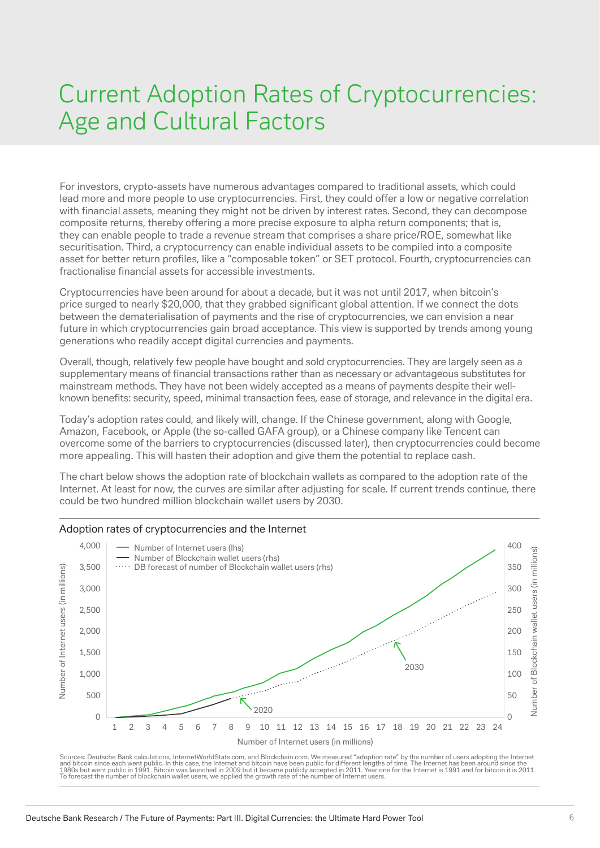### Current Adoption Rates of Cryptocurrencies: Age and Cultural Factors

For investors, crypto-assets have numerous advantages compared to traditional assets, which could lead more and more people to use cryptocurrencies. First, they could offer a low or negative correlation with financial assets, meaning they might not be driven by interest rates. Second, they can decompose composite returns, thereby offering a more precise exposure to alpha return components; that is, they can enable people to trade a revenue stream that comprises a share price/ROE, somewhat like securitisation. Third, a cryptocurrency can enable individual assets to be compiled into a composite asset for better return profiles, like a "composable token" or SET protocol. Fourth, cryptocurrencies can fractionalise financial assets for accessible investments.

Cryptocurrencies have been around for about a decade, but it was not until 2017, when bitcoin's price surged to nearly \$20,000, that they grabbed significant global attention. If we connect the dots between the dematerialisation of payments and the rise of cryptocurrencies, we can envision a near future in which cryptocurrencies gain broad acceptance. This view is supported by trends among young generations who readily accept digital currencies and payments.

Overall, though, relatively few people have bought and sold cryptocurrencies. They are largely seen as a supplementary means of financial transactions rather than as necessary or advantageous substitutes for mainstream methods. They have not been widely accepted as a means of payments despite their wellknown benefits: security, speed, minimal transaction fees, ease of storage, and relevance in the digital era.

Today's adoption rates could, and likely will, change. If the Chinese government, along with Google, Amazon, Facebook, or Apple (the so-called GAFA group), or a Chinese company like Tencent can overcome some of the barriers to cryptocurrencies (discussed later), then cryptocurrencies could become more appealing. This will hasten their adoption and give them the potential to replace cash.

The chart below shows the adoption rate of blockchain wallets as compared to the adoption rate of the Internet. At least for now, the curves are similar after adjusting for scale. If current trends continue, there could be two hundred million blockchain wallet users by 2030.



Sources: Deutsche Bank calculations, InternetWorldStats.com, and Blockchain.com. We measured "adoption rate" by the number of users adopting the Internet<br>and bitcoin since each went public. In this case, the Internet and b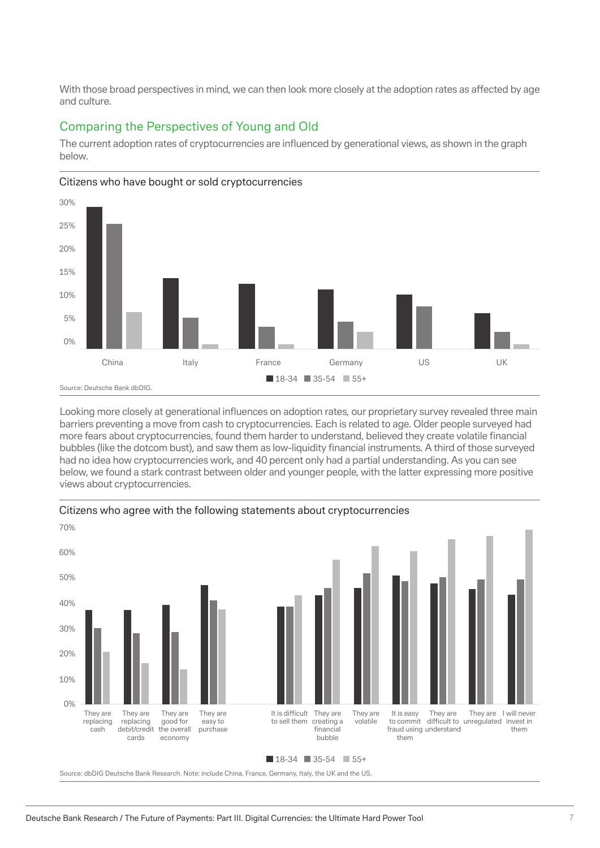With those broad perspectives in mind, we can then look more closely at the adoption rates as affected by age and culture.

#### Comparing the Perspectives of Young and Old

The current adoption rates of cryptocurrencies are influenced by generational views, as shown in the graph below.



#### Citizens who have bought or sold cryptocurrencies

Looking more closely at generational influences on adoption rates, our proprietary survey revealed three main barriers preventing a move from cash to cryptocurrencies. Each is related to age. Older people surveyed had more fears about cryptocurrencies, found them harder to understand, believed they create volatile financial bubbles (like the dotcom bust), and saw them as low-liquidity financial instruments. A third of those surveyed had no idea how cryptocurrencies work, and 40 percent only had a partial understanding. As you can see below, we found a stark contrast between older and younger people, with the latter expressing more positive views about cryptocurrencies.



Citizens who agree with the following statements about cryptocurrencies

Source: dbDIG Deutsche Bank Research. Note: include China, France, Germany, Italy, the UK and the US.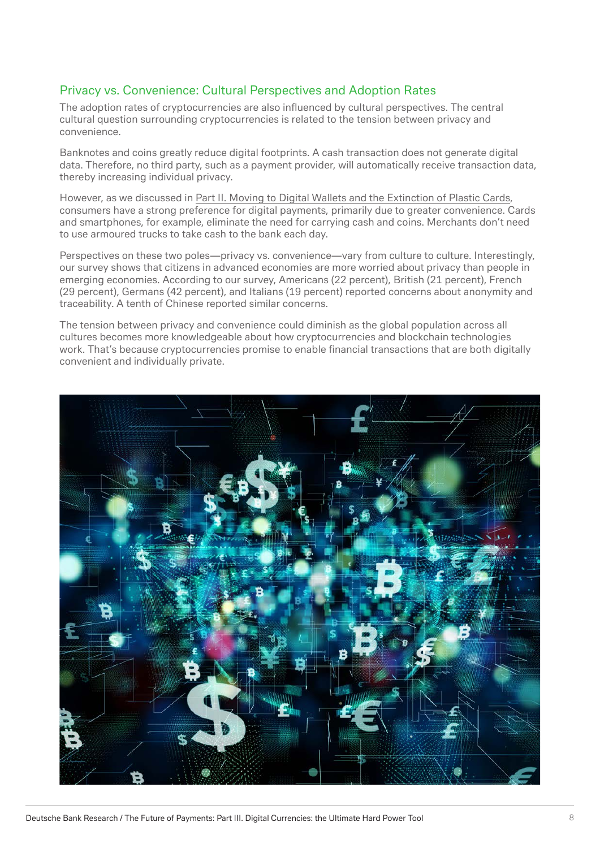#### Privacy vs. Convenience: Cultural Perspectives and Adoption Rates

The adoption rates of cryptocurrencies are also influenced by cultural perspectives. The central cultural question surrounding cryptocurrencies is related to the tension between privacy and convenience.

Banknotes and coins greatly reduce digital footprints. A cash transaction does not generate digital data. Therefore, no third party, such as a payment provider, will automatically receive transaction data, thereby increasing individual privacy.

However, as we discussed in [Part II](https://www.dbresearch.com/PROD/RPS_EN-PROD/PROD0000000000504508/The_Future_of_Payments_-_Part_II__Moving_to_Digita.pdf). Moving to Digital Wallets and the Extinction of Plastic Cards, consumers have a strong preference for digital payments, primarily due to greater convenience. Cards and smartphones, for example, eliminate the need for carrying cash and coins. Merchants don't need to use armoured trucks to take cash to the bank each day.

Perspectives on these two poles—privacy vs. convenience—vary from culture to culture. Interestingly, our survey shows that citizens in advanced economies are more worried about privacy than people in emerging economies. According to our survey, Americans (22 percent), British (21 percent), French (29 percent), Germans (42 percent), and Italians (19 percent) reported concerns about anonymity and traceability. A tenth of Chinese reported similar concerns.

The tension between privacy and convenience could diminish as the global population across all cultures becomes more knowledgeable about how cryptocurrencies and blockchain technologies work. That's because cryptocurrencies promise to enable financial transactions that are both digitally convenient and individually private.

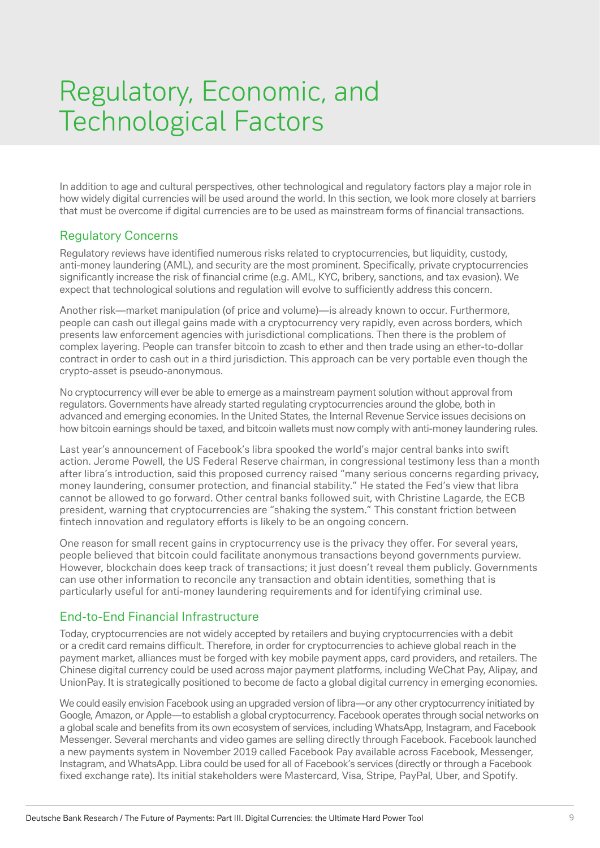### Regulatory, Economic, and Technological Factors

In addition to age and cultural perspectives, other technological and regulatory factors play a major role in how widely digital currencies will be used around the world. In this section, we look more closely at barriers that must be overcome if digital currencies are to be used as mainstream forms of financial transactions.

#### Regulatory Concerns

Regulatory reviews have identified numerous risks related to cryptocurrencies, but liquidity, custody, anti-money laundering (AML), and security are the most prominent. Specifically, private cryptocurrencies significantly increase the risk of financial crime (e.g. AML, KYC, bribery, sanctions, and tax evasion). We expect that technological solutions and regulation will evolve to sufficiently address this concern.

Another risk—market manipulation (of price and volume)—is already known to occur. Furthermore, people can cash out illegal gains made with a cryptocurrency very rapidly, even across borders, which presents law enforcement agencies with jurisdictional complications. Then there is the problem of complex layering. People can transfer bitcoin to zcash to ether and then trade using an ether-to-dollar contract in order to cash out in a third jurisdiction. This approach can be very portable even though the crypto-asset is pseudo-anonymous.

No cryptocurrency will ever be able to emerge as a mainstream payment solution without approval from regulators. Governments have already started regulating cryptocurrencies around the globe, both in advanced and emerging economies. In the United States, the Internal Revenue Service issues decisions on how bitcoin earnings should be taxed, and bitcoin wallets must now comply with anti-money laundering rules.

Last year's announcement of Facebook's libra spooked the world's major central banks into swift action. Jerome Powell, the US Federal Reserve chairman, in congressional testimony less than a month after libra's introduction, said this proposed currency raised "many serious concerns regarding privacy, money laundering, consumer protection, and financial stability." He stated the Fed's view that libra cannot be allowed to go forward. Other central banks followed suit, with Christine Lagarde, the ECB president, warning that cryptocurrencies are "shaking the system." This constant friction between fintech innovation and regulatory efforts is likely to be an ongoing concern.

One reason for small recent gains in cryptocurrency use is the privacy they offer. For several years, people believed that bitcoin could facilitate anonymous transactions beyond governments purview. However, blockchain does keep track of transactions; it just doesn't reveal them publicly. Governments can use other information to reconcile any transaction and obtain identities, something that is particularly useful for anti-money laundering requirements and for identifying criminal use.

#### End-to-End Financial Infrastructure

Today, cryptocurrencies are not widely accepted by retailers and buying cryptocurrencies with a debit or a credit card remains difficult. Therefore, in order for cryptocurrencies to achieve global reach in the payment market, alliances must be forged with key mobile payment apps, card providers, and retailers. The Chinese digital currency could be used across major payment platforms, including WeChat Pay, Alipay, and UnionPay. It is strategically positioned to become de facto a global digital currency in emerging economies.

We could easily envision Facebook using an upgraded version of libra—or any other cryptocurrency initiated by Google, Amazon, or Apple—to establish a global cryptocurrency. Facebook operates through social networks on a global scale and benefits from its own ecosystem of services, including WhatsApp, Instagram, and Facebook Messenger. Several merchants and video games are selling directly through Facebook. Facebook launched a new payments system in November 2019 called Facebook Pay available across Facebook, Messenger, Instagram, and WhatsApp. Libra could be used for all of Facebook's services (directly or through a Facebook fixed exchange rate). Its initial stakeholders were Mastercard, Visa, Stripe, PayPal, Uber, and Spotify.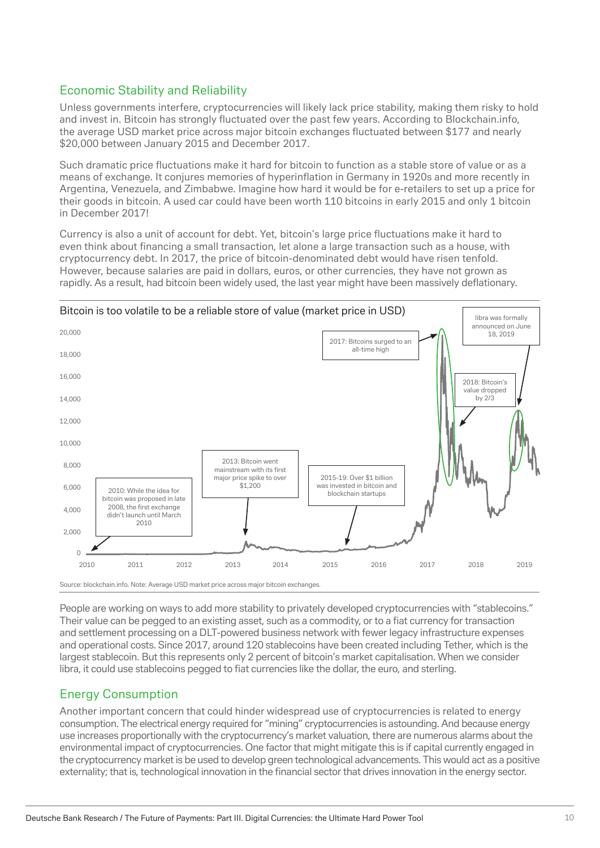#### Economic Stability and Reliability

Unless governments interfere, cryptocurrencies will likely lack price stability, making them risky to hold and invest in. Bitcoin has strongly fluctuated over the past few years. According to Blockchain.info, the average USD market price across major bitcoin exchanges fluctuated between \$177 and nearly \$20,000 between January 2015 and December 2017.

Such dramatic price fluctuations make it hard for bitcoin to function as a stable store of value or as a means of exchange. It conjures memories of hyperinflation in Germany in 1920s and more recently in Argentina, Venezuela, and Zimbabwe. Imagine how hard it would be for e-retailers to set up a price for their goods in bitcoin. A used car could have been worth 110 bitcoins in early 2015 and only 1 bitcoin in December 2017!

Currency is also a unit of account for debt. Yet, bitcoin's large price fluctuations make it hard to even think about financing a small transaction, let alone a large transaction such as a house, with cryptocurrency debt. In 2017, the price of bitcoin-denominated debt would have risen tenfold. However, because salaries are paid in dollars, euros, or other currencies, they have not grown as rapidly. As a result, had bitcoin been widely used, the last year might have been massively deflationary.



People are working on ways to add more stability to privately developed cryptocurrencies with "stablecoins." Their value can be pegged to an existing asset, such as a commodity, or to a fiat currency for transaction and settlement processing on a DLT-powered business network with fewer legacy infrastructure expenses and operational costs. Since 2017, around 120 stablecoins have been created including Tether, which is the largest stablecoin. But this represents only 2 percent of bitcoin's market capitalisation. When we consider libra, it could use stablecoins pegged to fiat currencies like the dollar, the euro, and sterling.

#### Energy Consumption

Another important concern that could hinder widespread use of cryptocurrencies is related to energy consumption. The electrical energy required for "mining" cryptocurrencies is astounding. And because energy use increases proportionally with the cryptocurrency's market valuation, there are numerous alarms about the environmental impact of cryptocurrencies. One factor that might mitigate this is if capital currently engaged in the cryptocurrency market is be used to develop green technological advancements. This would act as a positive externality; that is, technological innovation in the financial sector that drives innovation in the energy sector.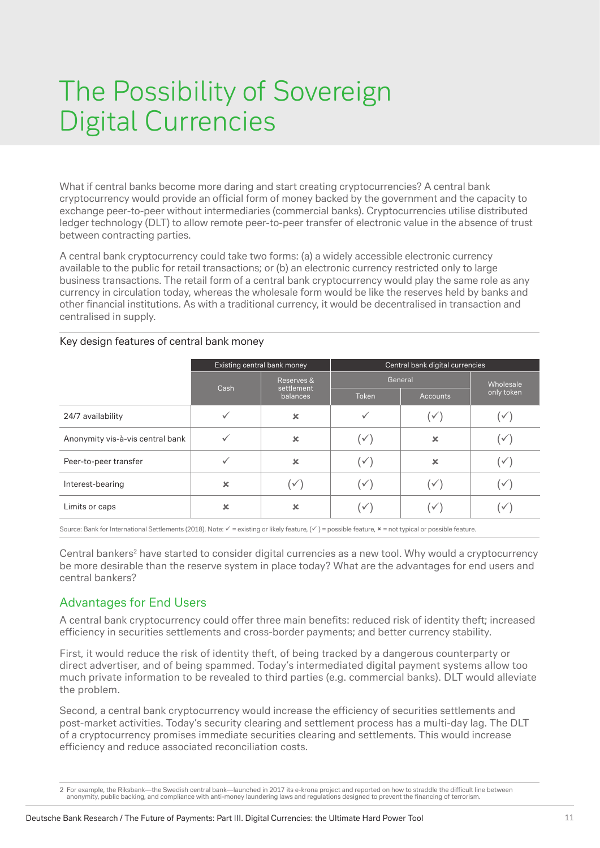### The Possibility of Sovereign Digital Currencies

What if central banks become more daring and start creating cryptocurrencies? A central bank cryptocurrency would provide an official form of money backed by the government and the capacity to exchange peer-to-peer without intermediaries (commercial banks). Cryptocurrencies utilise distributed ledger technology (DLT) to allow remote peer-to-peer transfer of electronic value in the absence of trust between contracting parties.

A central bank cryptocurrency could take two forms: (a) a widely accessible electronic currency available to the public for retail transactions; or (b) an electronic currency restricted only to large business transactions. The retail form of a central bank cryptocurrency would play the same role as any currency in circulation today, whereas the wholesale form would be like the reserves held by banks and other financial institutions. As with a traditional currency, it would be decentralised in transaction and centralised in supply.

#### Key design features of central bank money

|                                  |      | Existing central bank money |       | Central bank digital currencies |              |
|----------------------------------|------|-----------------------------|-------|---------------------------------|--------------|
|                                  |      | Reserves &                  |       | General                         | Wholesale    |
|                                  | Cash | settlement<br>balances      | Token | Accounts                        | only token   |
| 24/7 availability                |      | $\boldsymbol{\mathsf{x}}$   |       | $\checkmark$                    | $\checkmark$ |
| Anonymity vis-à-vis central bank |      | $\boldsymbol{\mathsf{x}}$   |       | ×                               |              |
| Peer-to-peer transfer            |      | $\boldsymbol{\mathsf{x}}$   |       | ×                               |              |
| Interest-bearing                 | ×    | $\checkmark$                |       | $\checkmark$                    |              |
| Limits or caps                   | ×    | $\boldsymbol{\mathsf{x}}$   |       | v                               |              |

Source: Bank for International Settlements (2018). Note:  $\checkmark$  = existing or likely feature,  $(\checkmark)$  = possible feature,  $*$  = not typical or possible feature.

Central bankers<sup>2</sup> have started to consider digital currencies as a new tool. Why would a cryptocurrency be more desirable than the reserve system in place today? What are the advantages for end users and central bankers?

#### Advantages for End Users

A central bank cryptocurrency could offer three main benefits: reduced risk of identity theft; increased efficiency in securities settlements and cross-border payments; and better currency stability.

First, it would reduce the risk of identity theft, of being tracked by a dangerous counterparty or direct advertiser, and of being spammed. Today's intermediated digital payment systems allow too much private information to be revealed to third parties (e.g. commercial banks). DLT would alleviate the problem.

Second, a central bank cryptocurrency would increase the efficiency of securities settlements and post-market activities. Today's security clearing and settlement process has a multi-day lag. The DLT of a cryptocurrency promises immediate securities clearing and settlements. This would increase efficiency and reduce associated reconciliation costs.

<sup>2</sup> For example, the Riksbank—the Swedish central bank—launched in 2017 its e-krona project and reported on how to straddle the difficult line between<br>anonymity, public backing, and compliance with anti-money laundering laws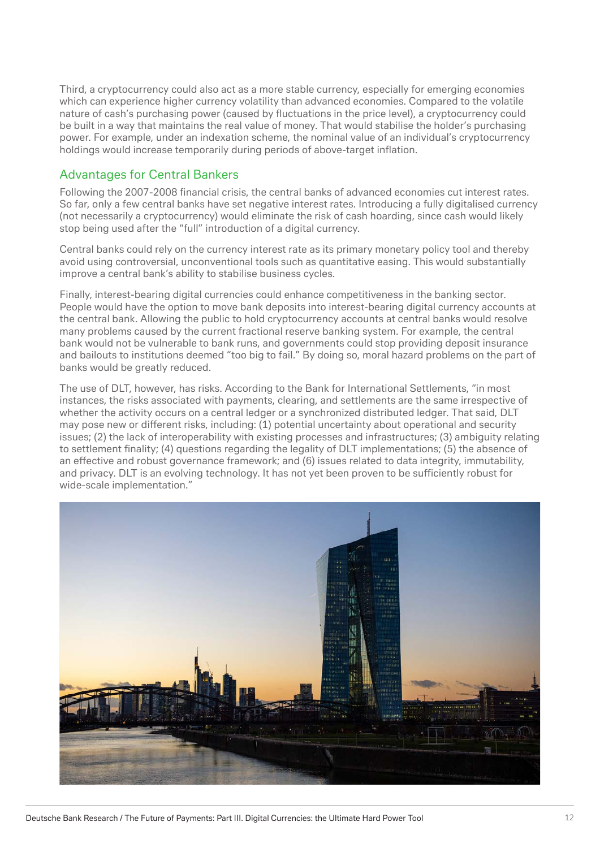Third, a cryptocurrency could also act as a more stable currency, especially for emerging economies which can experience higher currency volatility than advanced economies. Compared to the volatile nature of cash's purchasing power (caused by fluctuations in the price level), a cryptocurrency could be built in a way that maintains the real value of money. That would stabilise the holder's purchasing power. For example, under an indexation scheme, the nominal value of an individual's cryptocurrency holdings would increase temporarily during periods of above-target inflation.

#### Advantages for Central Bankers

Following the 2007-2008 financial crisis, the central banks of advanced economies cut interest rates. So far, only a few central banks have set negative interest rates. Introducing a fully digitalised currency (not necessarily a cryptocurrency) would eliminate the risk of cash hoarding, since cash would likely stop being used after the "full" introduction of a digital currency.

Central banks could rely on the currency interest rate as its primary monetary policy tool and thereby avoid using controversial, unconventional tools such as quantitative easing. This would substantially improve a central bank's ability to stabilise business cycles.

Finally, interest-bearing digital currencies could enhance competitiveness in the banking sector. People would have the option to move bank deposits into interest-bearing digital currency accounts at the central bank. Allowing the public to hold cryptocurrency accounts at central banks would resolve many problems caused by the current fractional reserve banking system. For example, the central bank would not be vulnerable to bank runs, and governments could stop providing deposit insurance and bailouts to institutions deemed "too big to fail." By doing so, moral hazard problems on the part of banks would be greatly reduced.

The use of DLT, however, has risks. According to the Bank for International Settlements, "in most instances, the risks associated with payments, clearing, and settlements are the same irrespective of whether the activity occurs on a central ledger or a synchronized distributed ledger. That said, DLT may pose new or different risks, including: (1) potential uncertainty about operational and security issues; (2) the lack of interoperability with existing processes and infrastructures; (3) ambiguity relating to settlement finality; (4) questions regarding the legality of DLT implementations; (5) the absence of an effective and robust governance framework; and (6) issues related to data integrity, immutability, and privacy. DLT is an evolving technology. It has not yet been proven to be sufficiently robust for wide-scale implementation."

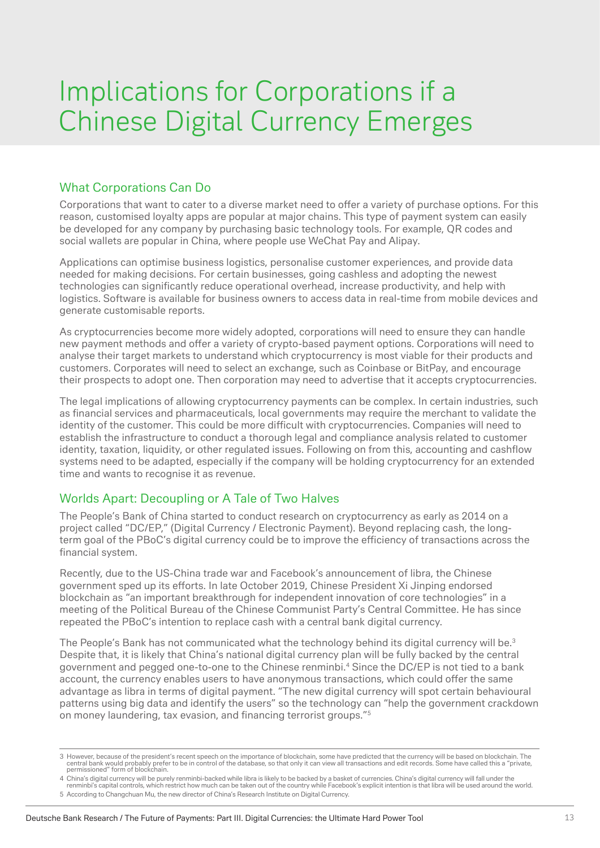### Implications for Corporations if a Chinese Digital Currency Emerges

#### What Corporations Can Do

Corporations that want to cater to a diverse market need to offer a variety of purchase options. For this reason, customised loyalty apps are popular at major chains. This type of payment system can easily be developed for any company by purchasing basic technology tools. For example, QR codes and social wallets are popular in China, where people use WeChat Pay and Alipay.

Applications can optimise business logistics, personalise customer experiences, and provide data needed for making decisions. For certain businesses, going cashless and adopting the newest technologies can significantly reduce operational overhead, increase productivity, and help with logistics. Software is available for business owners to access data in real-time from mobile devices and generate customisable reports.

As cryptocurrencies become more widely adopted, corporations will need to ensure they can handle new payment methods and offer a variety of crypto-based payment options. Corporations will need to analyse their target markets to understand which cryptocurrency is most viable for their products and customers. Corporates will need to select an exchange, such as Coinbase or BitPay, and encourage their prospects to adopt one. Then corporation may need to advertise that it accepts cryptocurrencies.

The legal implications of allowing cryptocurrency payments can be complex. In certain industries, such as financial services and pharmaceuticals, local governments may require the merchant to validate the identity of the customer. This could be more difficult with cryptocurrencies. Companies will need to establish the infrastructure to conduct a thorough legal and compliance analysis related to customer identity, taxation, liquidity, or other regulated issues. Following on from this, accounting and cashflow systems need to be adapted, especially if the company will be holding cryptocurrency for an extended time and wants to recognise it as revenue.

#### Worlds Apart: Decoupling or A Tale of Two Halves

The People's Bank of China started to conduct research on cryptocurrency as early as 2014 on a project called "DC/EP," (Digital Currency / Electronic Payment). Beyond replacing cash, the longterm goal of the PBoC's digital currency could be to improve the efficiency of transactions across the financial system.

Recently, due to the US-China trade war and Facebook's announcement of libra, the Chinese government sped up its efforts. In late October 2019, Chinese President Xi Jinping endorsed blockchain as "an important breakthrough for independent innovation of core technologies" in a meeting of the Political Bureau of the Chinese Communist Party's Central Committee. He has since repeated the PBoC's intention to replace cash with a central bank digital currency.

The People's Bank has not communicated what the technology behind its digital currency will be.<sup>3</sup> Despite that, it is likely that China's national digital currency plan will be fully backed by the central government and pegged one-to-one to the Chinese renminbi.4 Since the DC/EP is not tied to a bank account, the currency enables users to have anonymous transactions, which could offer the same advantage as libra in terms of digital payment. "The new digital currency will spot certain behavioural patterns using big data and identify the users" so the technology can "help the government crackdown on money laundering, tax evasion, and financing terrorist groups."<sup>5</sup>

<sup>3</sup> However, because of the president's recent speech on the importance of blockchain, some have predicted that the currency will be based on blockchain. The central band would probably prefer to be in control of the databas

<sup>4</sup> China's digital currency will be purely renminbi-backed while libra is likely to be backed by a basket of currencies. China's digital currency will fall under the<br>renminbi's capital controls, which restrict how much can

<sup>5</sup> According to Changchuan Mu, the new director of China's Research Institute on Digital Currency.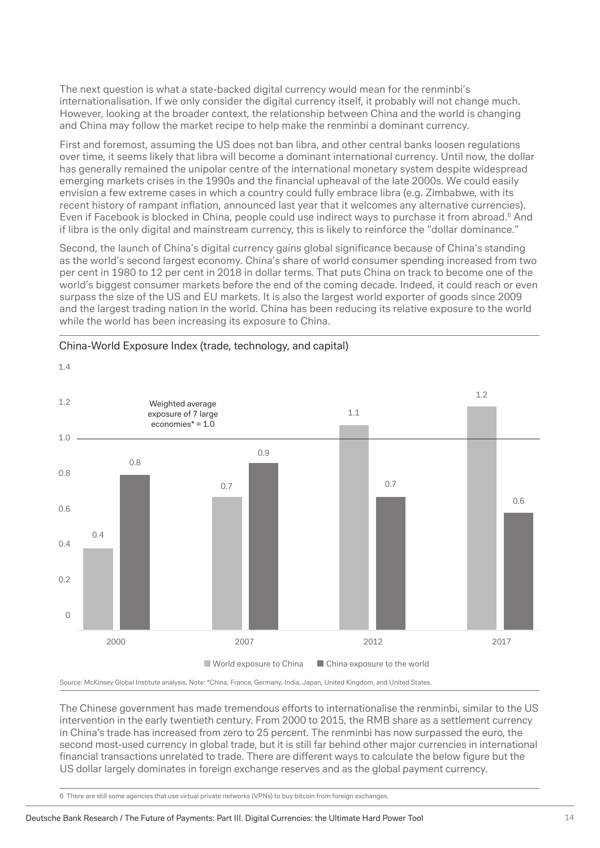The next question is what a state-backed digital currency would mean for the renminbi's internationalisation. If we only consider the digital currency itself, it probably will not change much. However, looking at the broader context, the relationship between China and the world is changing and China may follow the market recipe to help make the renminbi a dominant currency.

First and foremost, assuming the US does not ban libra, and other central banks loosen regulations over time, it seems likely that libra will become a dominant international currency. Until now, the dollar has generally remained the unipolar centre of the international monetary system despite widespread emerging markets crises in the 1990s and the financial upheaval of the late 2000s. We could easily envision a few extreme cases in which a country could fully embrace libra (e.g. Zimbabwe, with its recent history of rampant inflation, announced last year that it welcomes any alternative currencies). Even if Facebook is blocked in China, people could use indirect ways to purchase it from abroad.<sup>6</sup> And if libra is the only digital and mainstream currency, this is likely to reinforce the "dollar dominance."

Second, the launch of China's digital currency gains global significance because of China's standing as the world's second largest economy. China's share of world consumer spending increased from two per cent in 1980 to 12 per cent in 2018 in dollar terms. That puts China on track to become one of the world's biggest consumer markets before the end of the coming decade. Indeed, it could reach or even surpass the size of the US and EU markets. It is also the largest world exporter of goods since 2009 and the largest trading nation in the world. China has been reducing its relative exposure to the world while the world has been increasing its exposure to China.



#### China-World Exposure Index (trade, technology, and capital)

1.4

Source: McKinsey Global Institute analysis. Note: \*China, France, Germany, India, Japan, United Kingdom, and United States.

The Chinese government has made tremendous efforts to internationalise the renminbi, similar to the US intervention in the early twentieth century. From 2000 to 2015, the RMB share as a settlement currency in China's trade has increased from zero to 25 percent. The renminbi has now surpassed the euro, the second most-used currency in global trade, but it is still far behind other major currencies in international financial transactions unrelated to trade. There are different ways to calculate the below figure but the US dollar largely dominates in foreign exchange reserves and as the global payment currency.

6 There are still some agencies that use virtual private networks (VPNs) to buy bitcoin from foreign exchanges.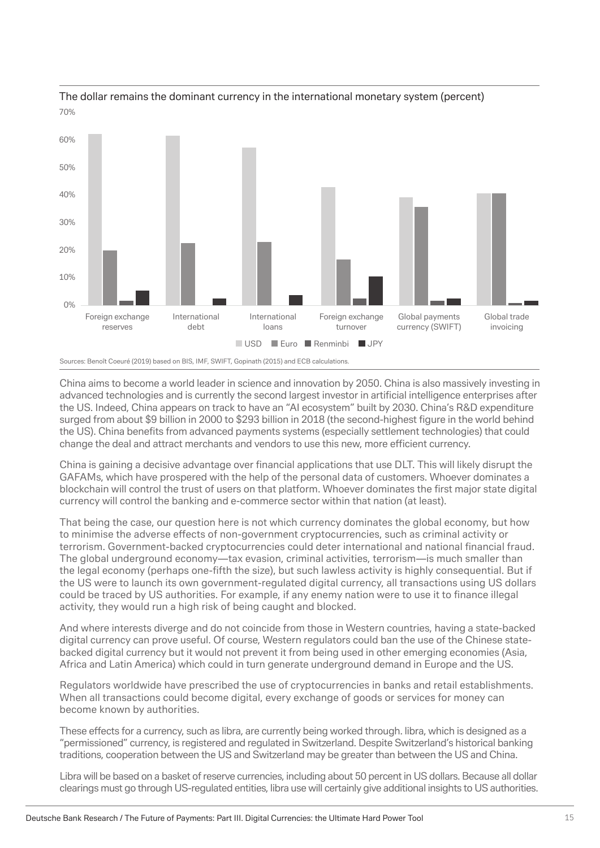

#### The dollar remains the dominant currency in the international monetary system (percent) 70%

Sources: Benoît Coeuré (2019) based on BIS, IMF, SWIFT, Gopinath (2015) and ECB calculations.

China aims to become a world leader in science and innovation by 2050. China is also massively investing in advanced technologies and is currently the second largest investor in artificial intelligence enterprises after the US. Indeed, China appears on track to have an "AI ecosystem" built by 2030. China's R&D expenditure surged from about \$9 billion in 2000 to \$293 billion in 2018 (the second-highest figure in the world behind the US). China benefits from advanced payments systems (especially settlement technologies) that could change the deal and attract merchants and vendors to use this new, more efficient currency.

China is gaining a decisive advantage over financial applications that use DLT. This will likely disrupt the GAFAMs, which have prospered with the help of the personal data of customers. Whoever dominates a blockchain will control the trust of users on that platform. Whoever dominates the first major state digital currency will control the banking and e-commerce sector within that nation (at least).

That being the case, our question here is not which currency dominates the global economy, but how to minimise the adverse effects of non-government cryptocurrencies, such as criminal activity or terrorism. Government-backed cryptocurrencies could deter international and national financial fraud. The global underground economy—tax evasion, criminal activities, terrorism—is much smaller than the legal economy (perhaps one-fifth the size), but such lawless activity is highly consequential. But if the US were to launch its own government-regulated digital currency, all transactions using US dollars could be traced by US authorities. For example, if any enemy nation were to use it to finance illegal activity, they would run a high risk of being caught and blocked.

And where interests diverge and do not coincide from those in Western countries, having a state-backed digital currency can prove useful. Of course, Western regulators could ban the use of the Chinese statebacked digital currency but it would not prevent it from being used in other emerging economies (Asia, Africa and Latin America) which could in turn generate underground demand in Europe and the US.

Regulators worldwide have prescribed the use of cryptocurrencies in banks and retail establishments. When all transactions could become digital, every exchange of goods or services for money can become known by authorities.

These effects for a currency, such as libra, are currently being worked through. libra, which is designed as a "permissioned" currency, is registered and regulated in Switzerland. Despite Switzerland's historical banking traditions, cooperation between the US and Switzerland may be greater than between the US and China.

Libra will be based on a basket of reserve currencies, including about 50 percent in US dollars. Because all dollar clearings must go through US-regulated entities, libra use will certainly give additional insights to US authorities.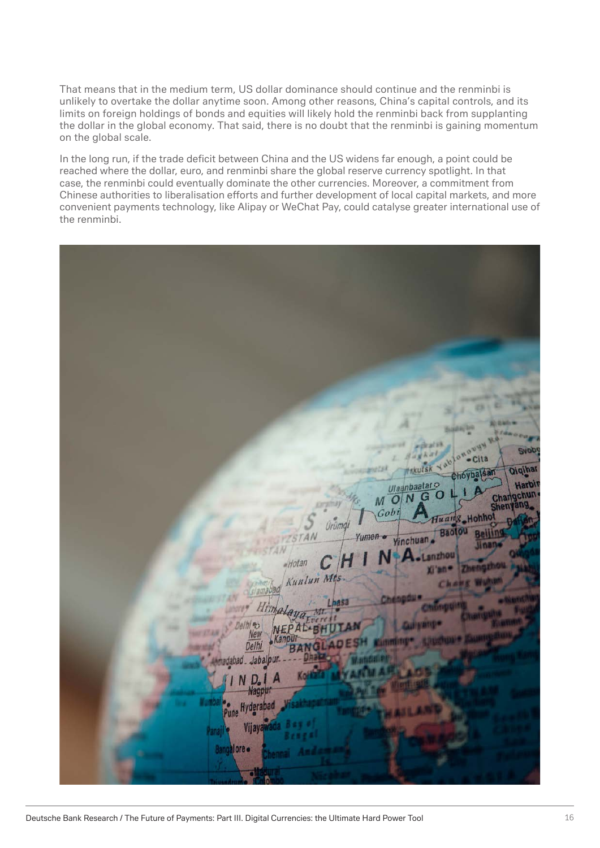That means that in the medium term, US dollar dominance should continue and the renminbi is unlikely to overtake the dollar anytime soon. Among other reasons, China's capital controls, and its limits on foreign holdings of bonds and equities will likely hold the renminbi back from supplanting the dollar in the global economy. That said, there is no doubt that the renminbi is gaining momentum on the global scale.

In the long run, if the trade deficit between China and the US widens far enough, a point could be reached where the dollar, euro, and renminbi share the global reserve currency spotlight. In that case, the renminbi could eventually dominate the other currencies. Moreover, a commitment from Chinese authorities to liberalisation efforts and further development of local capital markets, and more convenient payments technology, like Alipay or WeChat Pay, could catalyse greater international use of the renminbi.

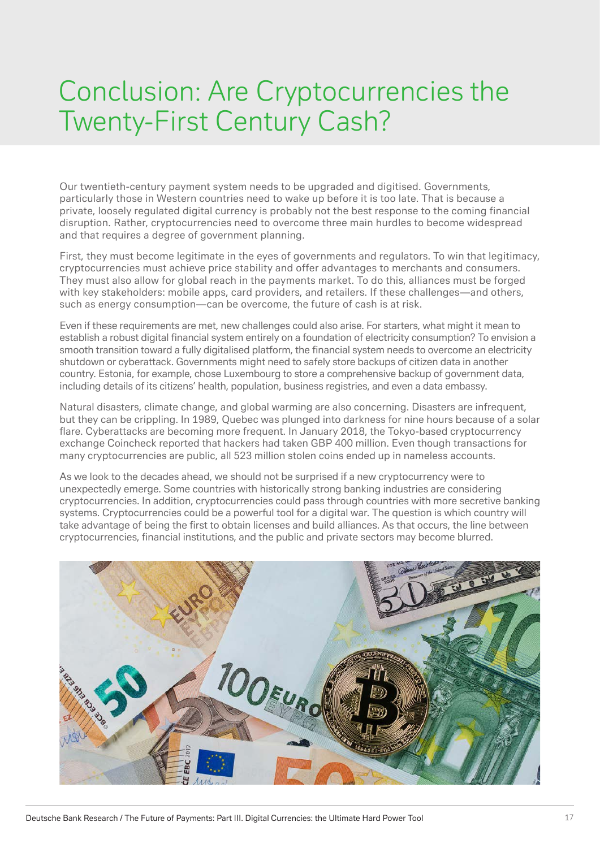### Conclusion: Are Cryptocurrencies the Twenty-First Century Cash?

Our twentieth-century payment system needs to be upgraded and digitised. Governments, particularly those in Western countries need to wake up before it is too late. That is because a private, loosely regulated digital currency is probably not the best response to the coming financial disruption. Rather, cryptocurrencies need to overcome three main hurdles to become widespread and that requires a degree of government planning.

First, they must become legitimate in the eyes of governments and regulators. To win that legitimacy, cryptocurrencies must achieve price stability and offer advantages to merchants and consumers. They must also allow for global reach in the payments market. To do this, alliances must be forged with key stakeholders: mobile apps, card providers, and retailers. If these challenges—and others, such as energy consumption—can be overcome, the future of cash is at risk.

Even if these requirements are met, new challenges could also arise. For starters, what might it mean to establish a robust digital financial system entirely on a foundation of electricity consumption? To envision a smooth transition toward a fully digitalised platform, the financial system needs to overcome an electricity shutdown or cyberattack. Governments might need to safely store backups of citizen data in another country. Estonia, for example, chose Luxembourg to store a comprehensive backup of government data, including details of its citizens' health, population, business registries, and even a data embassy.

Natural disasters, climate change, and global warming are also concerning. Disasters are infrequent, but they can be crippling. In 1989, Quebec was plunged into darkness for nine hours because of a solar flare. Cyberattacks are becoming more frequent. In January 2018, the Tokyo-based cryptocurrency exchange Coincheck reported that hackers had taken GBP 400 million. Even though transactions for many cryptocurrencies are public, all 523 million stolen coins ended up in nameless accounts.

As we look to the decades ahead, we should not be surprised if a new cryptocurrency were to unexpectedly emerge. Some countries with historically strong banking industries are considering cryptocurrencies. In addition, cryptocurrencies could pass through countries with more secretive banking systems. Cryptocurrencies could be a powerful tool for a digital war. The question is which country will take advantage of being the first to obtain licenses and build alliances. As that occurs, the line between cryptocurrencies, financial institutions, and the public and private sectors may become blurred.

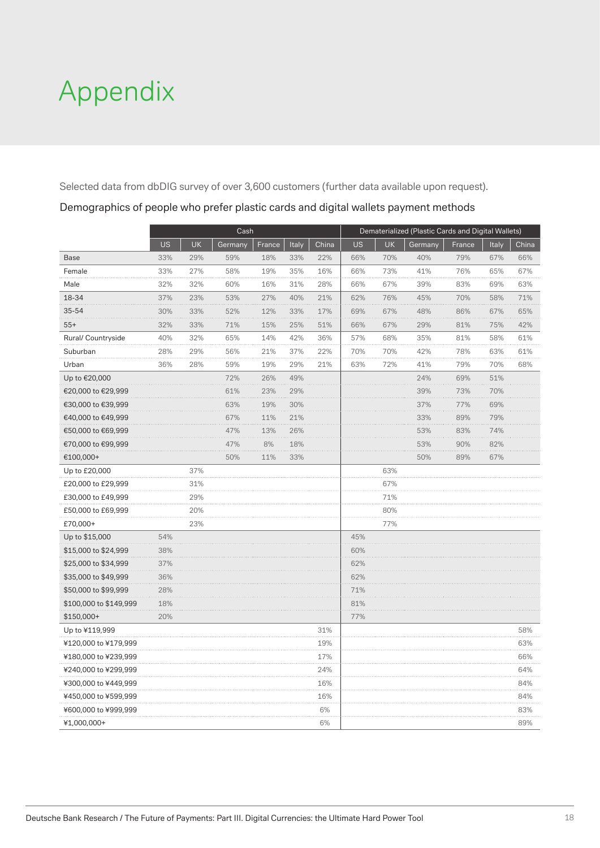## Appendix

Selected data from dbDIG survey of over 3,600 customers (further data available upon request).

|                        |           |           | Cash    |        |       |       |     |           | Dematerialized (Plastic Cards and Digital Wallets) |        |       |       |
|------------------------|-----------|-----------|---------|--------|-------|-------|-----|-----------|----------------------------------------------------|--------|-------|-------|
|                        | <b>US</b> | <b>UK</b> | Germany | France | Italy | China | US  | <b>UK</b> | Germany                                            | France | Italy | China |
| <b>Base</b>            | 33%       | 29%       | 59%     | 18%    | 33%   | 22%   | 66% | 70%       | 40%                                                | 79%    | 67%   | 66%   |
| Female                 | 33%       | 27%       | 58%     | 19%    | 35%   | 16%   | 66% | 73%       | 41%                                                | 76%    | 65%   | 67%   |
| Male                   | 32%       | 32%       | 60%     | 16%    | 31%   | 28%   | 66% | 67%       | 39%                                                | 83%    | 69%   | 63%   |
| 18-34                  | 37%       | 23%       | 53%     | 27%    | 40%   | 21%   | 62% | 76%       | 45%                                                | 70%    | 58%   | 71%   |
| 35-54                  | 30%       | 33%       | 52%     | 12%    | 33%   | 17%   | 69% | 67%       | 48%                                                | 86%    | 67%   | 65%   |
| $55+$                  | 32%       | 33%       | 71%     | 15%    | 25%   | 51%   | 66% | 67%       | 29%                                                | 81%    | 75%   | 42%   |
| Rural/ Countryside     | 40%       | 32%       | 65%     | 14%    | 42%   | 36%   | 57% | 68%       | 35%                                                | 81%    | 58%   | 61%   |
| Suburban               | 28%       | 29%       | 56%     | 21%    | 37%   | 22%   | 70% | 70%       | 42%                                                | 78%    | 63%   | 61%   |
| Urban                  | 36%       | 28%       | 59%     | 19%    | 29%   | 21%   | 63% | 72%       | 41%                                                | 79%    | 70%   | 68%   |
| Up to €20,000          |           |           | 72%     | 26%    | 49%   |       |     |           | 24%                                                | 69%    | 51%   |       |
| €20,000 to €29,999     |           |           | 61%     | 23%    | 29%   |       |     |           | 39%                                                | 73%    | 70%   |       |
| €30,000 to €39,999     |           |           | 63%     | 19%    | 30%   |       |     |           | 37%                                                | 77%    | 69%   |       |
| €40,000 to €49,999     |           |           | 67%     | 11%    | 21%   |       |     |           | 33%                                                | 89%    | 79%   |       |
| €50,000 to €69,999     |           |           | 47%     | 13%    | 26%   |       |     |           | 53%                                                | 83%    | 74%   |       |
| €70,000 to €99,999     |           |           | 47%     | 8%     | 18%   |       |     |           | 53%                                                | 90%    | 82%   |       |
| €100,000+              |           |           | 50%     | 11%    | 33%   |       |     |           | 50%                                                | 89%    | 67%   |       |
| Up to £20,000          |           | 37%       |         |        |       |       |     | 63%       |                                                    |        |       |       |
| £20,000 to £29,999     |           | 31%       |         |        |       |       |     | 67%       |                                                    |        |       |       |
| £30,000 to £49,999     |           | 29%       |         |        |       |       |     | 71%       |                                                    |        |       |       |
| £50,000 to £69,999     |           | 20%       |         |        |       |       |     | 80%       |                                                    |        |       |       |
| £70,000+               |           | 23%       |         |        |       |       |     | 77%       |                                                    |        |       |       |
| Up to \$15,000         | 54%       |           |         |        |       |       | 45% |           |                                                    |        |       |       |
| \$15,000 to \$24,999   | 38%       |           |         |        |       |       | 60% |           |                                                    |        |       |       |
| \$25,000 to \$34,999   | 37%       |           |         |        |       |       | 62% |           |                                                    |        |       |       |
| \$35,000 to \$49,999   | 36%       |           |         |        |       |       | 62% |           |                                                    |        |       |       |
| \$50,000 to \$99,999   | 28%       |           |         |        |       |       | 71% |           |                                                    |        |       |       |
| \$100,000 to \$149,999 | 18%       |           |         |        |       |       | 81% |           |                                                    |        |       |       |
| $$150,000+$            | 20%       |           |         |        |       |       | 77% |           |                                                    |        |       |       |
| Up to ¥119,999         |           |           |         |        |       | 31%   |     |           |                                                    |        |       | 58%   |
| ¥120,000 to ¥179,999   |           |           |         |        |       | 19%   |     |           |                                                    |        |       | 63%   |
| ¥180,000 to ¥239,999   |           |           |         |        |       | 17%   |     |           |                                                    |        |       | 66%   |
| ¥240,000 to ¥299,999   |           |           |         |        |       | 24%   |     |           |                                                    |        |       | 64%   |
| ¥300,000 to ¥449,999   |           |           |         |        |       | 16%   |     |           |                                                    |        |       | 84%   |
| ¥450,000 to ¥599,999   |           |           |         |        |       | 16%   |     |           |                                                    |        |       | 84%   |
| ¥600,000 to ¥999,999   |           |           |         |        |       | 6%    |     |           |                                                    |        |       | 83%   |
| ¥1,000,000+            |           |           |         |        |       | 6%    |     |           |                                                    |        |       | 89%   |

Demographics of people who prefer plastic cards and digital wallets payment methods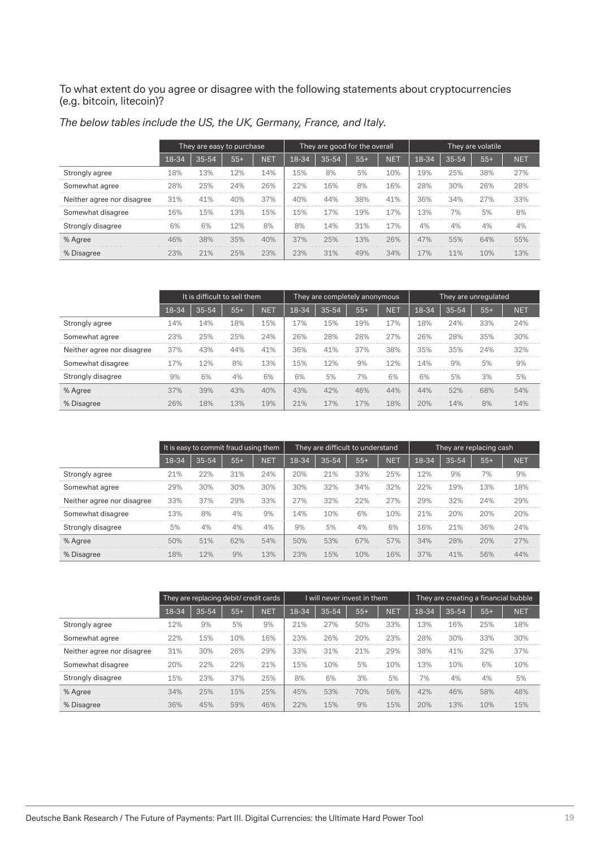To what extent do you agree or disagree with the following statements about cryptocurrencies (e.g. bitcoin, litecoin)?

|                            |       | They are easy to purchase |       |            |       | They are good for the overall |       |            | They are volatile |           |       |            |
|----------------------------|-------|---------------------------|-------|------------|-------|-------------------------------|-------|------------|-------------------|-----------|-------|------------|
|                            | 18-34 | $35 - 54$                 | $55+$ | <b>NET</b> | 18-34 | $35 - 54$                     | $55+$ | <b>NET</b> | 18-34             | $35 - 54$ | $55+$ | <b>NET</b> |
| Strongly agree             | 18%   | 13%                       | 12%   | 14%        | 15%   | 8%                            | 5%    | 10%        | 19%               | 25%       | 38%   | 27%        |
| Somewhat agree             | 28%   | 25%                       | 24%   | 26%        | 22%   | 16%                           | 8%    | 16%        | 28%               | 30%       | 26%   | 28%        |
| Neither agree nor disagree | 31%   | 41%                       | 40%   | 37%        | 40%   | 44%                           | 38%   | 41%        | 36%               | 34%       | 27%   | 33%        |
| Somewhat disagree          | 16%   | 15%                       | 1.3%  | 15%        | 15%   | 17%                           | 19%   | 17%        | 3%                | 7%        | 5%    | 8%         |
| Strongly disagree          | 6%    | 6%                        | 12%   | 8%         | 8%    | 14%                           | 31%   | 17%        | 4%                | 4%        | 4%    | 4%         |
| % Agree                    |       | 38%                       | 35%   | 40%        | 37%   | 25%                           | 13%   | 26%        | 47%               | 55%       | 64%   | 55%        |
| % Disagree                 |       | 21%                       | 25%   | 23%        | 23%   | 31%                           |       | 34%        | L7%               | 11%       | 10%   | 1.3%       |

| The below tables include the US, the UK, Germany, France, and Italy. |  |  |  |  |  |  |
|----------------------------------------------------------------------|--|--|--|--|--|--|
|----------------------------------------------------------------------|--|--|--|--|--|--|

|                            |       | It is difficult to sell them |       |     |       | They are completely anonymous |       |            | They are unregulated |           |       |     |
|----------------------------|-------|------------------------------|-------|-----|-------|-------------------------------|-------|------------|----------------------|-----------|-------|-----|
|                            | 18-34 | 35-54                        | $55+$ | NET | 18-34 | $35 - 54$                     | $55+$ | <b>NET</b> | 18-34                | $35 - 54$ | $55+$ | NET |
| Strongly agree             | L4%   | 14%                          | 18%   | 15% | 7%    | 15%                           | 19%   | 17%        | L8%                  | 24%       | 33%   |     |
| Somewhat agree             | 23%   | 25%                          | 25%   | 24% | 26%   | 28%                           | 28%   | 27%        | 26%                  | 28%       | 35%   | 30% |
| Neither agree nor disagree | 37%   | 43%                          | 44%   | 41% | 36%   | 41%                           | 37%   | 38%        | 35%                  | 35%       | 24%   | 32% |
| Somewhat disagree          |       |                              | 8%    | 13% | 5%    | 12%                           | 9%    | 12%        | 14%                  | 9%        | 5%    | 9%  |
| Strongly disagree          | 9%    | 6%                           | 4%    | 6%  | 6%    | 5%                            | 7%    | 6%         | 6%                   | 5%        | 3%    | 5%  |
| % Agree                    | 37%   | 39%                          | 43%   | 40% | 43%   |                               |       | 44%        | 44%                  | 52%       | 68%   | 54% |
| % Disagree                 |       | 18%                          | 13%   | 19% | $1\%$ | 17%                           | 17%   | 18%        | 20%                  | 14%       | 8%    | 14% |

|                            |       | It is easy to commit fraud using them |       |     |       |           | They are difficult to understand |            | They are replacing cash |           |       |            |
|----------------------------|-------|---------------------------------------|-------|-----|-------|-----------|----------------------------------|------------|-------------------------|-----------|-------|------------|
|                            | 18-34 | $35 - 54$                             | $55+$ | NET | 18-34 | $35 - 54$ | $55+$                            | <b>NET</b> | 18-34                   | $35 - 54$ | $55+$ | <b>NET</b> |
| Strongly agree             | 21%   | 22%                                   | 31%   | 24% | 20%   | 21%       | 33%                              | 25%        | 12%                     | 9%        | 7%    | 9%         |
| Somewhat agree             | 29%   | 30%                                   | 30%   | 30% | 30%   | 32%       | 34%                              | 32%        | 22%                     | 19%       | 13%   | 18%        |
| Neither agree nor disagree | 33%   | 37%                                   | 29%   | 33% | 27%   | 32%       | 22%                              | 27%        | 29%                     | 32%       | 24%   | 29%        |
| Somewhat disagree          | 13%   | 8%                                    | 4%    | 9%  | 4%    | 10%       | 6%                               | 10%        | 21%                     | 20%       | 20%   | 20%        |
| Strongly disagree          | 5%    | 4%                                    | 4%    | 4%  | 9%    | 5%        | 4%                               | 6%         | 16%                     | 21%       | 36%   | 24%        |
| % Agree                    | 50%   | 51%                                   | 62%   | 54% | 50%   | 53%       | 67%                              | 57%        | 34%                     | 28%       | 20%   | 27%        |
| % Disagree                 |       |                                       | 9%    | 13% | 3%    | 15%       | 10%                              | 16%        | 37%                     | 41%       | 56%   |            |

|                            |       | They are replacing debit/ credit cards |       |            |       | I will never invest in them |       |            | They are creating a financial bubble |           |       |            |
|----------------------------|-------|----------------------------------------|-------|------------|-------|-----------------------------|-------|------------|--------------------------------------|-----------|-------|------------|
|                            | 18-34 | $35 - 54$                              | $55+$ | <b>NET</b> | 18-34 | $35 - 54$                   | $55+$ | <b>NET</b> | 18-34                                | $35 - 54$ | $55+$ | <b>NET</b> |
| Strongly agree             | 12%   | 9%                                     | 5%    | 9%         | 21%   | 27%                         | 50%   | 33%        | 13%                                  | 16%       | 25%   | 18%        |
| Somewhat agree             | 22%   | 15%                                    | 10%   | 16%        | 23%   | 26%                         | 20%   | 23%        | 28%                                  | 30%       | 33%   | 30%        |
| Neither agree nor disagree | 31%   | 30%                                    | 26%   | 29%        | 33%   | 31%                         | 21%   | 29%        | 38%                                  | 41%       | 32%   | 37%        |
| Somewhat disagree          | 20%   | 22%                                    | 22%   | 21%        | 15%   | 10%                         | 5%    | 10%        | 13%                                  | 10%       | 6%    | 10%        |
| Strongly disagree          | 15%   | 23%                                    | 37%   | 25%        | 8%    | 6%                          | 3%    | 5%         | 7%                                   | 4%        | 4%    | 5%         |
| % Agree                    | 34%   | 25%                                    | 15%   | 25%        | 45%   | 53%                         | 70%   | 56%        | 42%                                  | 46%       | 58%   | 48%        |
| % Disagree                 | 36%   | 45%                                    | 59%   | 46%        | 22%   | 15%                         | 9%    | 15%        | 20%                                  | 13%       | 10%   | 15%        |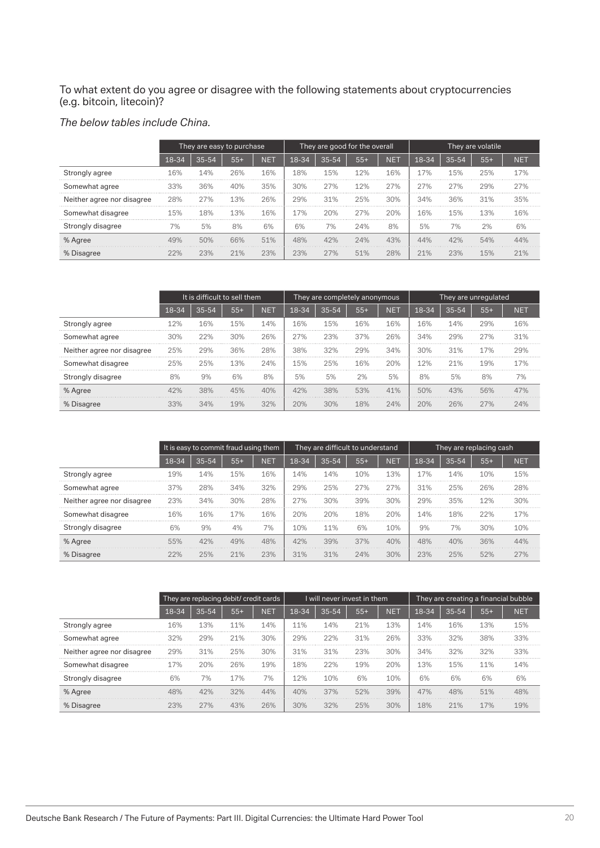To what extent do you agree or disagree with the following statements about cryptocurrencies (e.g. bitcoin, litecoin)?

#### *The below tables include China.*

|                            |       | They are easy to purchase |       |            | They are good for the overall |           |       |            | They are volatile |           |       |            |
|----------------------------|-------|---------------------------|-------|------------|-------------------------------|-----------|-------|------------|-------------------|-----------|-------|------------|
|                            | 18-34 | $35 - 54$                 | $55+$ | <b>NET</b> | 18-34                         | $35 - 54$ | $55+$ | <b>NET</b> | 18-34             | $35 - 54$ | $55+$ | <b>NET</b> |
| Strongly agree             | 16%   | 14%                       | 26%   | 16%        | 18%                           | 15%       | 12%   | 16%        | 17%               | 15%       | 25%   | 17%        |
| Somewhat agree             | 33%   | 36%                       | 40%   | 35%        | 30%                           | 27%       | 12%   | 27%        | 27%               | 27%       | 29%   | 27%        |
| Neither agree nor disagree | 28%   | 27%                       | 13%   | 26%        | 29%                           | .31%      | 25%   | 30%        | 34%               | 36%       | .31%  | 35%        |
| Somewhat disagree          | 15%   | 18%                       | 13%   | 16%        | 17%                           | 20%       | 27%   | 20%        | 16%               | 15%       | 13%   | 16%        |
| Strongly disagree          | 7%    | 5%                        | 8%    | 6%         | 6%                            | 7%        | 24%   | 8%         | 5%                | 7%        | 2%    | 6%         |
| % Agree                    | 49%   | 50%                       | 66%   | 51%        | 48%                           | 42%       | 24%   | 43%        | 44%               | 42%       | 54%   |            |
| % Disagree                 |       | 23%                       | 21%   | 23%        | 23%                           | 27%       | 51%   | 28%        | 21%               | 23%       | 15%   |            |

|                            |       | It is difficult to sell them |       |     |       | They are completely anonymous |       |            | They are unregulated |           |       |            |
|----------------------------|-------|------------------------------|-------|-----|-------|-------------------------------|-------|------------|----------------------|-----------|-------|------------|
|                            | 18-34 | $35 - 54$                    | $55+$ | NET | 18-34 | $35 - 54$                     | $55+$ | <b>NET</b> | 18-34                | $35 - 54$ | $55+$ | <b>NET</b> |
| Strongly agree             | 12%   | 16%                          | 15%   | 14% | 16%   | 15%                           | 16%   | 16%        | 16%                  | 14%       | 29%   | 16%        |
| Somewhat agree             | 30%   | 22%                          | 30%   | 26% | 27%   | 23%                           | 37%   | 26%        | 34%                  | 29%       | 27%   | 31%        |
| Neither agree nor disagree | 25%   | 29%                          | 36%   | 28% | 38%   | 32%                           | 29%   | 34%        | 30%                  | 31%       | 17%   | 29%        |
| Somewhat disagree          | 25%   | 25%                          | 13%   | 24% | 15%   | 25%                           | 16%   | 20%        | 12%                  | 21%       | 19%   | 17%        |
| Strongly disagree          |       | 9%                           | 6%    | 8%  | 5%    | 5%                            | 2%    | 5%         | 8%                   | 5%        | 8%    | 7%         |
| % Agree                    | 42%   | 38%                          | 45%   | 40% | 42%   | 38%                           | 53%   | 41%        | 50%                  | 43%       | 56%   | 47%        |
| % Disagree                 |       |                              | 19%   | 32% | ንበ%   | 30%                           | 18%   | 24%        | 20%                  | 26%       | 27%   | 24%        |

|                            |       | It is easy to commit fraud using them |       |     |       | They are difficult to understand |       |            | They are replacing cash |           |       |            |
|----------------------------|-------|---------------------------------------|-------|-----|-------|----------------------------------|-------|------------|-------------------------|-----------|-------|------------|
|                            | 18-34 | $35 - 54$                             | $55+$ | NET | 18-34 | $35 - 54$                        | $55+$ | <b>NET</b> | 18-34                   | $35 - 54$ | $55+$ | <b>NET</b> |
| Strongly agree             | 19%   | 14%                                   | 15%   | 16% | .4%   | 14%                              | 10%   | 13%        | 17%                     | 14%       | 10%   | 15%        |
| Somewhat agree             | 37%   | 28%                                   | 34%   | 32% | 29%   | 25%                              | 27%   | 27%        | 31%                     | 25%       | 26%   | 28%        |
| Neither agree nor disagree | 23%   | 34%                                   | 30%   | 28% | 27%   | 30%                              | 39%   | 30%        | 29%                     | 35%       | 12%   | 30%        |
| Somewhat disagree          | 16%   | 16%                                   | 17%   | 16% | 20%   | 20%                              | 18%   | 20%        | 14%                     | 18%       | 22%   | 17%        |
| Strongly disagree          | 6%    | 9%                                    | 4%    | 7%  | 0%    | 11%                              | 6%    | 10%        | 9%                      | 7%        | 30%   | 10%        |
| % Agree                    | 55%   | 42%                                   | 49%   | 48% | 42%   | 39%                              | 37%   | 40%        | 48%                     | 40%       | 36%   | 44%        |
| % Disagree                 |       |                                       | 21%   | 23% | 31%   | 31%                              | 24%   | 30%        | 23%                     | 25%       | 52%   |            |

|                            |       | They are replacing debit/ credit cards |       |            |       | I will never invest in them |       |            | They are creating a financial bubble |           |       |            |
|----------------------------|-------|----------------------------------------|-------|------------|-------|-----------------------------|-------|------------|--------------------------------------|-----------|-------|------------|
|                            | 18-34 | $35 - 54$                              | $55+$ | <b>NET</b> | 18-34 | $35 - 54$                   | $55+$ | <b>NET</b> | 18-34                                | $35 - 54$ | $55+$ | <b>NET</b> |
| Strongly agree             | 16%   | 13%                                    | 11%   | 14%        | 1%    | 14%                         | 21%   | 13%        | 14%                                  | 16%       | 13%   | 15%        |
| Somewhat agree             | 32%   | 29%                                    | 21%   | 30%        | 29%   | 22%                         | 31%   | 26%        | 33%                                  | 32%       | 38%   | 33%        |
| Neither agree nor disagree | 29%   | 31%                                    | 25%   | 30%        | 31%   | 31%                         | 23%   | 30%        | 34%                                  | 32%       | 32%   | 33%        |
| Somewhat disagree          | 17%   | 20%                                    | 26%   | 19%        | 18%   | 22%                         | 19%   | 20%        | 13%                                  | 15%       | 11%   | 14%        |
| Strongly disagree          | 6%    | 7%                                     | 17%   | 7%         | 12%   | 10%                         | 6%    | 10%        | 6%                                   | 6%        | 6%    | 6%         |
| % Agree                    | 48%   | 42%                                    | 32%   | 44%        | 40%   | 37%                         | 52%   | 39%        | 47%                                  | 48%       | 51%   | 48%        |
| % Disagree                 | 23%   | 27%                                    | 43%   | 26%        | 30%   | 32%                         | 25%   | 30%        | 18%                                  | 21%       | 17%   | 19%        |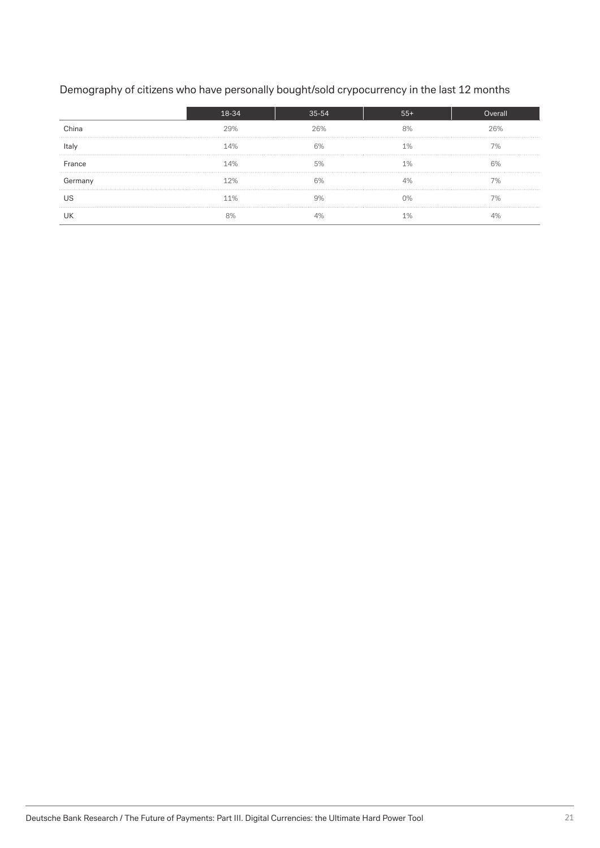#### Demography of citizens who have personally bought/sold crypocurrency in the last 12 months

|         |     | 35-54 |     |
|---------|-----|-------|-----|
| China   | 29% | 26%   | 26% |
| ltaly   | 14% |       |     |
| France  | 14% |       |     |
| Germany | 12% |       |     |
|         | 11% |       |     |
|         |     |       |     |